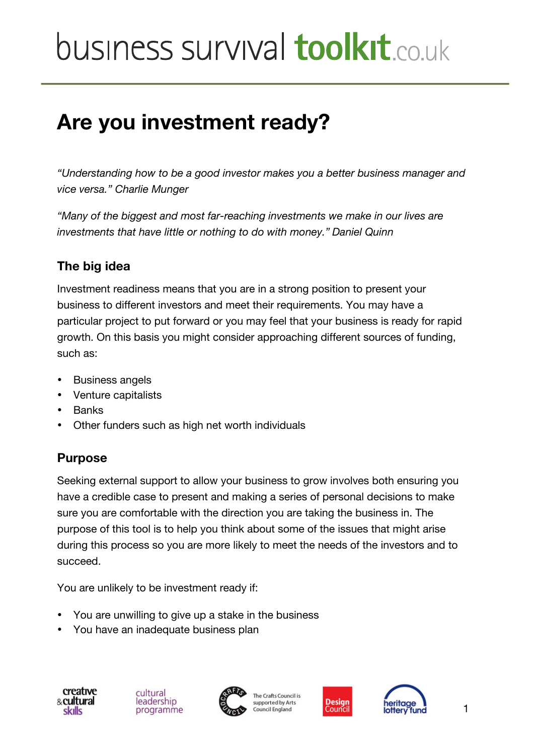# **Are you investment ready?**

*"Understanding how to be a good investor makes you a better business manager and vice versa." Charlie Munger*

*"Many of the biggest and most far-reaching investments we make in our lives are investments that have little or nothing to do with money." Daniel Quinn*

#### **The big idea**

Investment readiness means that you are in a strong position to present your business to different investors and meet their requirements. You may have a particular project to put forward or you may feel that your business is ready for rapid growth. On this basis you might consider approaching different sources of funding, such as:

- Business angels
- Venture capitalists
- Banks
- Other funders such as high net worth individuals

## **Purpose**

Seeking external support to allow your business to grow involves both ensuring you have a credible case to present and making a series of personal decisions to make sure you are comfortable with the direction you are taking the business in. The purpose of this tool is to help you think about some of the issues that might arise during this process so you are more likely to meet the needs of the investors and to succeed.

You are unlikely to be investment ready if:

- You are unwilling to give up a stake in the business
- You have an inadequate business plan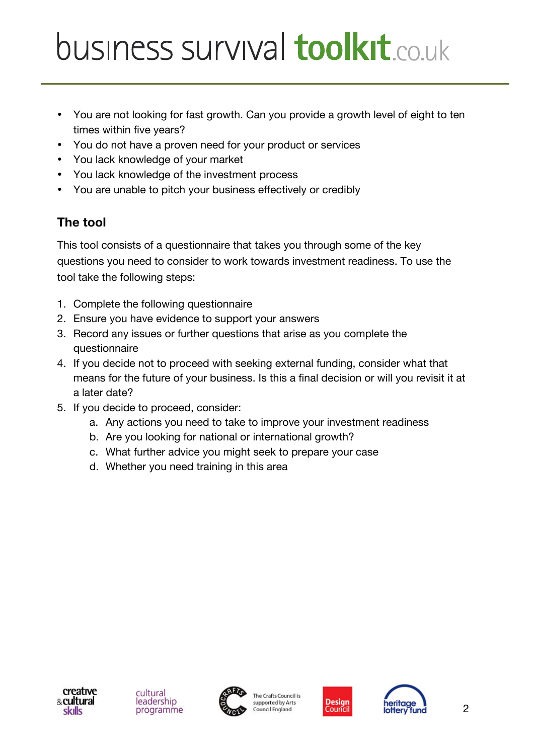- You are not looking for fast growth. Can you provide a growth level of eight to ten times within five years?
- You do not have a proven need for your product or services
- You lack knowledge of your market
- You lack knowledge of the investment process
- You are unable to pitch your business effectively or credibly

## **The tool**

This tool consists of a questionnaire that takes you through some of the key questions you need to consider to work towards investment readiness. To use the tool take the following steps:

- 1. Complete the following questionnaire
- 2. Ensure you have evidence to support your answers
- 3. Record any issues or further questions that arise as you complete the questionnaire
- 4. If you decide not to proceed with seeking external funding, consider what that means for the future of your business. Is this a final decision or will you revisit it at a later date?
- 5. If you decide to proceed, consider:
	- a. Any actions you need to take to improve your investment readiness
	- b. Are you looking for national or international growth?
	- c. What further advice you might seek to prepare your case
	- d. Whether you need training in this area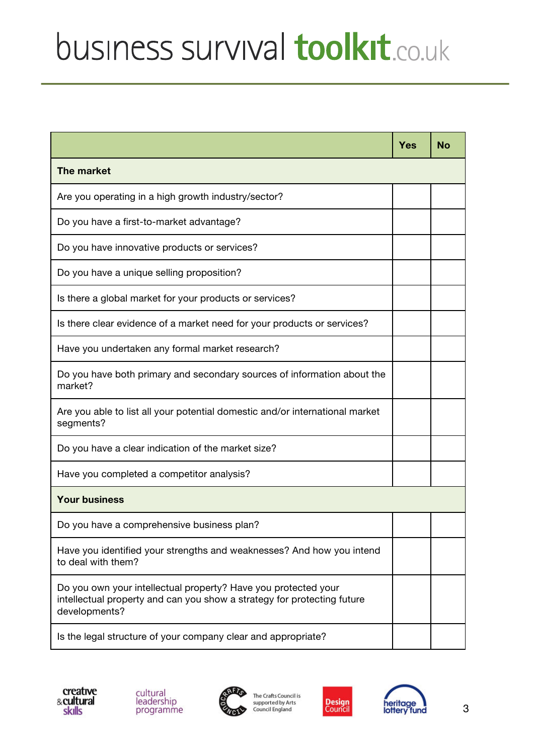|                                                                                                                                                            | Yes | <b>No</b> |
|------------------------------------------------------------------------------------------------------------------------------------------------------------|-----|-----------|
| The market                                                                                                                                                 |     |           |
| Are you operating in a high growth industry/sector?                                                                                                        |     |           |
| Do you have a first-to-market advantage?                                                                                                                   |     |           |
| Do you have innovative products or services?                                                                                                               |     |           |
| Do you have a unique selling proposition?                                                                                                                  |     |           |
| Is there a global market for your products or services?                                                                                                    |     |           |
| Is there clear evidence of a market need for your products or services?                                                                                    |     |           |
| Have you undertaken any formal market research?                                                                                                            |     |           |
| Do you have both primary and secondary sources of information about the<br>market?                                                                         |     |           |
| Are you able to list all your potential domestic and/or international market<br>segments?                                                                  |     |           |
| Do you have a clear indication of the market size?                                                                                                         |     |           |
| Have you completed a competitor analysis?                                                                                                                  |     |           |
| <b>Your business</b>                                                                                                                                       |     |           |
| Do you have a comprehensive business plan?                                                                                                                 |     |           |
| Have you identified your strengths and weaknesses? And how you intend<br>to deal with them?                                                                |     |           |
| Do you own your intellectual property? Have you protected your<br>intellectual property and can you show a strategy for protecting future<br>developments? |     |           |
| Is the legal structure of your company clear and appropriate?                                                                                              |     |           |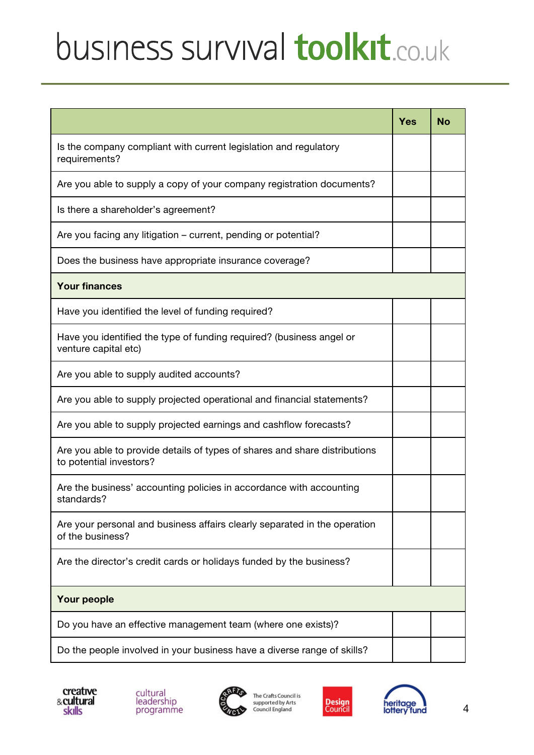|                                                                                                       | <b>Yes</b> | <b>No</b> |
|-------------------------------------------------------------------------------------------------------|------------|-----------|
| Is the company compliant with current legislation and regulatory<br>requirements?                     |            |           |
| Are you able to supply a copy of your company registration documents?                                 |            |           |
| Is there a shareholder's agreement?                                                                   |            |           |
| Are you facing any litigation – current, pending or potential?                                        |            |           |
| Does the business have appropriate insurance coverage?                                                |            |           |
| <b>Your finances</b>                                                                                  |            |           |
| Have you identified the level of funding required?                                                    |            |           |
| Have you identified the type of funding required? (business angel or<br>venture capital etc)          |            |           |
| Are you able to supply audited accounts?                                                              |            |           |
| Are you able to supply projected operational and financial statements?                                |            |           |
| Are you able to supply projected earnings and cashflow forecasts?                                     |            |           |
| Are you able to provide details of types of shares and share distributions<br>to potential investors? |            |           |
| Are the business' accounting policies in accordance with accounting<br>standards?                     |            |           |
| Are your personal and business affairs clearly separated in the operation<br>of the business?         |            |           |
| Are the director's credit cards or holidays funded by the business?                                   |            |           |
| Your people                                                                                           |            |           |
| Do you have an effective management team (where one exists)?                                          |            |           |
| Do the people involved in your business have a diverse range of skills?                               |            |           |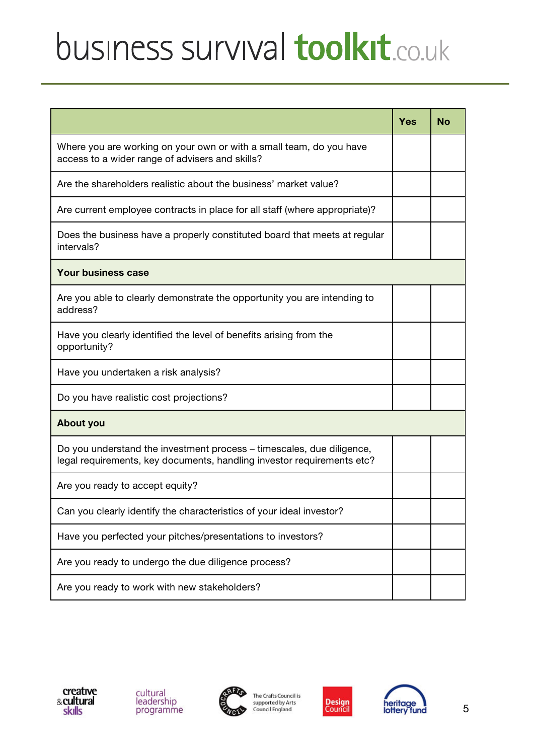|                                                                                                                                                 | <b>Yes</b> | <b>No</b> |
|-------------------------------------------------------------------------------------------------------------------------------------------------|------------|-----------|
| Where you are working on your own or with a small team, do you have<br>access to a wider range of advisers and skills?                          |            |           |
| Are the shareholders realistic about the business' market value?                                                                                |            |           |
| Are current employee contracts in place for all staff (where appropriate)?                                                                      |            |           |
| Does the business have a properly constituted board that meets at regular<br>intervals?                                                         |            |           |
| <b>Your business case</b>                                                                                                                       |            |           |
| Are you able to clearly demonstrate the opportunity you are intending to<br>address?                                                            |            |           |
| Have you clearly identified the level of benefits arising from the<br>opportunity?                                                              |            |           |
| Have you undertaken a risk analysis?                                                                                                            |            |           |
| Do you have realistic cost projections?                                                                                                         |            |           |
| <b>About you</b>                                                                                                                                |            |           |
| Do you understand the investment process – timescales, due diligence,<br>legal requirements, key documents, handling investor requirements etc? |            |           |
| Are you ready to accept equity?                                                                                                                 |            |           |
| Can you clearly identify the characteristics of your ideal investor?                                                                            |            |           |
| Have you perfected your pitches/presentations to investors?                                                                                     |            |           |
| Are you ready to undergo the due diligence process?                                                                                             |            |           |
| Are you ready to work with new stakeholders?                                                                                                    |            |           |